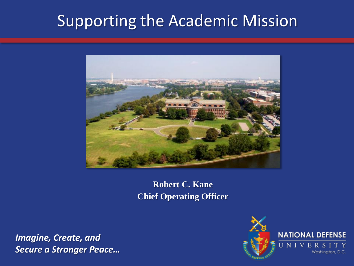# Supporting the Academic Mission



**Robert C. Kane Chief Operating Officer**

*Imagine, Create, and Secure a Stronger Peace…*

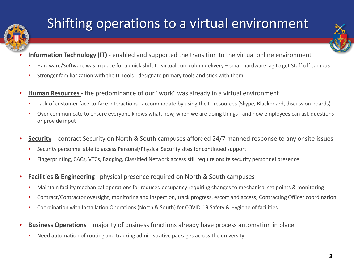

# Shifting operations to a virtual environment

- **Information Technology (IT)** enabled and supported the transition to the virtual online environment
- Hardware/Software was in place for a quick shift to virtual curriculum delivery small hardware lag to get Staff off campus
- Stronger familiarization with the IT Tools designate primary tools and stick with them
- **Human Resources**  the predominance of our "work" was already in a virtual environment
	- Lack of customer face-to-face interactions accommodate by using the IT resources (Skype, Blackboard, discussion boards)
	- Over communicate to ensure everyone knows what, how, when we are doing things and how employees can ask questions or provide input
- **Security** contract Security on North & South campuses afforded 24/7 manned response to any onsite issues
	- Security personnel able to access Personal/Physical Security sites for continued support
	- Fingerprinting, CACs, VTCs, Badging, Classified Network access still require onsite security personnel presence
- **Facilities & Engineering**  physical presence required on North & South campuses
	- Maintain facility mechanical operations for reduced occupancy requiring changes to mechanical set points & monitoring
	- Contract/Contractor oversight, monitoring and inspection, track progress, escort and access, Contracting Officer coordination
	- Coordination with Installation Operations (North & South) for COVID-19 Safety & Hygiene of facilities
- **Business Operations**  majority of business functions already have process automation in place
	- Need automation of routing and tracking administrative packages across the university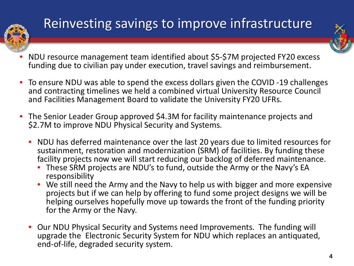

# Reinvesting savings to improve infrastructure

- 
- NDU resource management team identified about \$5-\$7M projected FY20 excess funding due to civilian pay under execution, travel savings and reimbursement.
- To ensure NDU was able to spend the excess dollars given the COVID -19 challenges and contracting timelines we held a combined virtual University Resource Council and Facilities Management Board to validate the University FY20 UFRs.
- The Senior Leader Group approved \$4.3M for facility maintenance projects and \$2.7M to improve NDU Physical Security and Systems.
	- NDU has deferred maintenance over the last 20 years due to limited resources for sustainment, restoration and modernization (SRM) of facilities. By funding these facility projects now we will start reducing our backlog of deferred maintenance.
		- These SRM projects are NDU's to fund, outside the Army or the Navy's EA responsibility
		- We still need the Army and the Navy to help us with bigger and more expensive projects but if we can help by offering to fund some project designs we will be helping ourselves hopefully move up towards the front of the funding priority for the Army or the Navy.
	- Our NDU Physical Security and Systems need Improvements. The funding will upgrade the Electronic Security System for NDU which replaces an antiquated, end-of-life, degraded security system.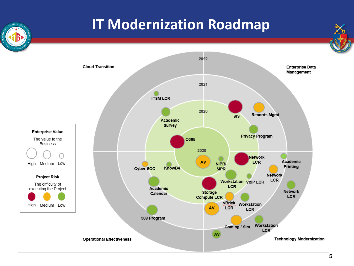#### **IT Modernization Roadmap**



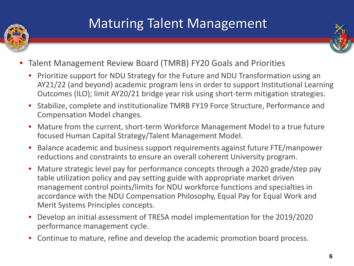

### Maturing Talent Management



- Talent Management Review Board (TMRB) FY20 Goals and Priorities
	- Prioritize support for NDU Strategy for the Future and NDU Transformation using an AY21/22 (and beyond) academic program lens in order to support Institutional Learning Outcomes (ILO); limit AY20/21 bridge year risk using short-term mitigation strategies.
	- Stabilize, complete and institutionalize TMRB FY19 Force Structure, Performance and Compensation Model changes.
	- Mature from the current, short-term Workforce Management Model to a true future focused Human Capital Strategy/Talent Management Model.
	- Balance academic and business support requirements against future FTE/manpower reductions and constraints to ensure an overall coherent University program.
	- Mature strategic level pay for performance concepts through a 2020 grade/step pay table utilization policy and pay setting guide with appropriate market driven management control points/limits for NDU workforce functions and specialties in accordance with the NDU Compensation Philosophy, Equal Pay for Equal Work and Merit Systems Principles concepts.
	- Develop an initial assessment of TRESA model implementation for the 2019/2020 performance management cycle.
	- Continue to mature, refine and develop the academic promotion board process.